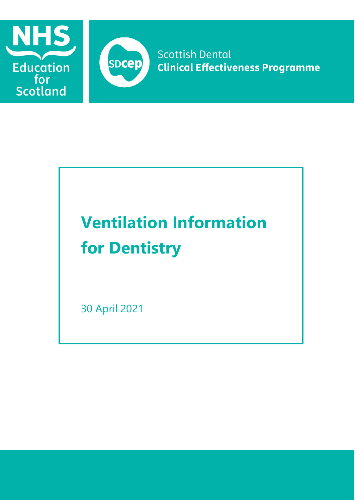



**Scottish Dental Clinical Effectiveness Programme** 

# **Ventilation Information for Dentistry**

30 April 2021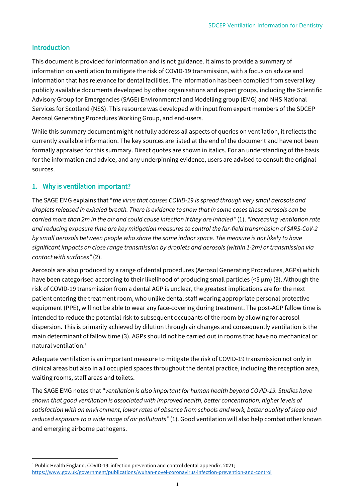## Introduction

This document is provided for information and is not guidance. It aims to provide a summary of information on ventilation to mitigate the risk of COVID-19 transmission, with a focus on advice and information that has relevance for dental facilities. The information has been compiled from several key publicly available documents developed by other organisations and expert groups, including the Scientific Advisory Group for Emergencies (SAGE) Environmental and Modelling group (EMG) and NHS National Services for Scotland (NSS). This resource was developed with input from expert members of the SDCEP Aerosol Generating Procedures Working Group, and end-users.

While this summary document might not fully address all aspects of queries on ventilation, it reflects the currently available information. The key sources are listed at the end of the document and have not been formally appraised for this summary. Direct quotes are shown in italics. For an understanding of the basis for the information and advice, and any underpinning evidence, users are advised to consult the original sources.

## 1. Why is ventilation important?

The SAGE EMG explains that "*the virus that causes COVID-19 is spread through very small aerosols and droplets released in exhaled breath. There is evidence to show that in some cases these aerosols can be carried more than 2m in the air and could cause infection if they are inhaled"* (1). *"Increasing ventilation rate and reducing exposure time are key mitigation measures to control the far-field transmission of SARS-CoV-2 by small aerosols between people who share the same indoor space. The measure is not likely to have significant impacts on close range transmission by droplets and aerosols (within 1-2m) or transmission via contact with surfaces"* (2).

Aerosols are also produced by a range of dental procedures (Aerosol Generating Procedures, AGPs) which have been categorised according to their likelihood of producing small particles (<5 µm) (3). Although the risk of COVID-19 transmission from a dental AGP is unclear, the greatest implications are for the next patient entering the treatment room, who unlike dental staff wearing appropriate personal protective equipment (PPE), will not be able to wear any face-covering during treatment. The post-AGP fallow time is intended to reduce the potential risk to subsequent occupants of the room by allowing for aerosol dispersion. This is primarily achieved by dilution through air changes and consequently ventilation is the main determinant of fallow time (3). AGPs should not be carried out in rooms that have no mechanical or natural ventilation. 1

Adequate ventilation is an important measure to mitigate the risk of COVID-19 transmission not only in clinical areas but also in all occupied spaces throughout the dental practice, including the reception area, waiting rooms, staff areas and toilets.

The SAGE EMG notes that "*ventilation is also important for human health beyond COVID-19. Studies have shown that good ventilation is associated with improved health, better concentration, higher levels of satisfaction with an environment, lower rates of absence from schools and work, better quality of sleep and reduced exposure to a wide range of air pollutants"* (1). Good ventilation will also help combat other known and emerging airborne pathogens.

<sup>&</sup>lt;sup>1</sup> Public Health England. COVID-19: infection prevention and control dental appendix. 2021; <https://www.gov.uk/government/publications/wuhan-novel-coronavirus-infection-prevention-and-control>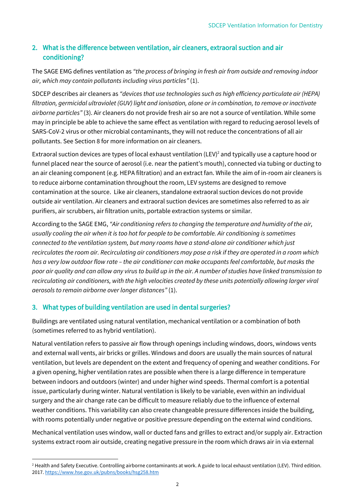# 2. What is the difference between ventilation, air cleaners, extraoral suction and air conditioning?

The SAGE EMG defines ventilation as *"the process of bringing in fresh air from outside and removing indoor air, which may contain pollutants including virus particles"* (1).

SDCEP describes air cleaners as *"devices that use technologies such as high efficiency particulate air (HEPA) filtration, germicidal ultraviolet (GUV) light and ionisation, alone or in combination, to remove or inactivate airborne particles"* (3). Air cleaners do not provide fresh air so are not a source of ventilation. While some may in principle be able to achieve the same effect as ventilation with regard to reducing aerosol levels of SARS-CoV-2 virus or other microbial contaminants, they will not reduce the concentrations of all air pollutants. See Section 8 for more information on air cleaners.

Extraoral suction devices are types of local exhaust ventilation (LEV)<sup>2</sup> and typically use a capture hood or funnel placed near the source of aerosol (i.e. near the patient's mouth), connected via tubing or ducting to an air cleaning component (e.g. HEPA filtration) and an extract fan. While the aim of in-room air cleaners is to reduce airborne contamination throughout the room, LEV systems are designed to remove contamination at the source. Like air cleaners, standalone extraoral suction devices do not provide outside air ventilation. Air cleaners and extraoral suction devices are sometimes also referred to as air purifiers, air scrubbers, air filtration units, portable extraction systems or similar.

According to the SAGE EMG, *"Air conditioning refers to changing the temperature and humidity of the air, usually cooling the air when it is too hot for people to be comfortable. Air conditioning is sometimes connected to the ventilation system, but many rooms have a stand-alone air conditioner which just recirculates the room air. Recirculating air conditioners may pose a risk if they are operated in a room which has a very low outdoor flow rate – the air conditioner can make occupants feel comfortable, but masks the poor air quality and can allow any virus to build up in the air. A number of studies have linked transmission to recirculating air conditioners, with the high velocities created by these units potentially allowing larger viral aerosols to remain airborne over longer distances"* (1).

# 3. What types of building ventilation are used in dental surgeries?

Buildings are ventilated using natural ventilation, mechanical ventilation or a combination of both (sometimes referred to as hybrid ventilation).

Natural ventilation refers to passive air flow through openings including windows, doors, windows vents and external wall vents, air bricks or grilles. Windows and doors are usually the main sources of natural ventilation, but levels are dependent on the extent and frequency of opening and weather conditions. For a given opening, higher ventilation rates are possible when there is a large difference in temperature between indoors and outdoors (winter) and under higher wind speeds. Thermal comfort is a potential issue, particularly during winter. Natural ventilation is likely to be variable, even within an individual surgery and the air change rate can be difficult to measure reliably due to the influence of external weather conditions. This variability can also create changeable pressure differences inside the building, with rooms potentially under negative or positive pressure depending on the external wind conditions.

Mechanical ventilation uses window, wall or ducted fans and grilles to extract and/or supply air. Extraction systems extract room air outside, creating negative pressure in the room which draws air in via external

<sup>&</sup>lt;sup>2</sup> Health and Safety Executive. Controlling airborne contaminants at work. A guide to local exhaust ventilation (LEV). Third edition. 2017. <https://www.hse.gov.uk/pubns/books/hsg258.htm>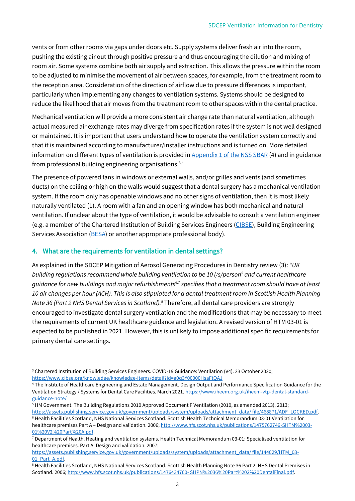vents or from other rooms via gaps under doors etc. Supply systems deliver fresh air into the room, pushing the existing air out through positive pressure and thus encouraging the dilution and mixing of room air. Some systems combine both air supply and extraction. This allows the pressure within the room to be adjusted to minimise the movement of air between spaces, for example, from the treatment room to the reception area. Consideration of the direction of airflow due to pressure differences is important, particularly when implementing any changes to ventilation systems. Systems should be designed to reduce the likelihood that air moves from the treatment room to other spaces within the dental practice.

Mechanical ventilation will provide a more consistent air change rate than natural ventilation, although actual measured air exchange rates may diverge from specification rates if the system is not well designed or maintained. It is important that users understand how to operate the ventilation system correctly and that it is maintained according to manufacturer/installer instructions and is turned on. More detailed information on different types of ventilation is provided i[n Appendix 1 of the NSS SBAR](http://www.scottishdental.org/wp-content/uploads/2020/08/Ventillation-Final-Copy-1.pdf) (4) and in guidance from professional building engineering organisations.3,4

The presence of powered fans in windows or external walls, and/or grilles and vents (and sometimes ducts) on the ceiling or high on the walls would suggest that a dental surgery has a mechanical ventilation system. If the room only has openable windows and no other signs of ventilation, then it is most likely naturally ventilated (1). A room with a fan and an opening window has both mechanical and natural ventilation. If unclear about the type of ventilation, it would be advisable to consult a ventilation engineer (e.g. a member of the Chartered Institution of Building Services Engineers [\(CIBSE\)](https://www.cibse.org/), Building Engineering Services Association [\(BESA\)](https://www.thebesa.com/) or another appropriate professional body).

### 4. What are the requirements for ventilation in dental settings?

As explained in the SDCEP Mitigation of Aerosol Generating Procedures in Dentistry review (3): *"UK building regulations recommend whole building ventilation to be 10 l/s/person<sup>5</sup> and current healthcare guidance for new buildings and major refurbishments6,7 specifies that a treatment room should have at least 10 air changes per hour (ACH). This is also stipulated for a dental treatment room in Scottish Health Planning Note 36 (Part 2 NHS Dental Services in Scotland).<sup>8</sup>* Therefore, all dental care providers are strongly encouraged to investigate dental surgery ventilation and the modifications that may be necessary to meet the requirements of current UK healthcare guidance and legislation. A revised version of HTM 03-01 is expected to be published in 2021. However, this is unlikely to impose additional specific requirements for primary dental care settings.

<sup>&</sup>lt;sup>3</sup> Chartered Institution of Building Services Engineers. COVID-19 Guidance: Ventilation (V4). 23 October 2020; <https://www.cibse.org/knowledge/knowledge-items/detail?id=a0q3Y00000HsaFtQAJ>

<sup>4</sup> The Institute of Healthcare Engineering and Estate Management. Design Output and Performance Specification Guidance for the Ventilation Strategy / Systems for Dental Care Facilities. March 2021[. https://www.iheem.org.uk/iheem-vtp-dental-standard](https://www.iheem.org.uk/iheem-vtp-dental-standard-guidance-note/)[guidance-note/](https://www.iheem.org.uk/iheem-vtp-dental-standard-guidance-note/)

<sup>5</sup> HM Government. The Building Regulations 2010 Approved Document F Ventilation (2010, as amended 2013). 2013; [https://assets.publishing.service.gov.uk/government/uploads/system/uploads/attachment\\_data/ file/468871/ADF\\_LOCKED.pdf.](https://assets.publishing.service.gov.uk/government/uploads/system/uploads/attachment_data/%20file/468871/ADF_LOCKED.pdf) <sup>6</sup> Health Facilities Scotland, NHS National Services Scotland. Scottish Health Technical Memorandum 03-01 Ventilation for healthcare premises Part A – Design and validation. 2006; [http://www.hfs.scot.nhs.uk/publications/1475762746-SHTM%2003-](http://www.hfs.scot.nhs.uk/publications/1475762746-SHTM%2003-01%20V2%20Part%20A.pdf) [01%20V2%20Part%20A.pdf.](http://www.hfs.scot.nhs.uk/publications/1475762746-SHTM%2003-01%20V2%20Part%20A.pdf)

<sup>7</sup> Department of Health. Heating and ventilation systems. Health Technical Memorandum 03-01: Specialised ventilation for healthcare premises. Part A: Design and validation. 2007;

[https://assets.publishing.service.gov.uk/government/uploads/system/uploads/attachment\\_data/ file/144029/HTM\\_03-](https://assets.publishing.service.gov.uk/government/uploads/system/uploads/attachment_data/%20file/144029/HTM_03-01_Part_A.pdf) 01 Part A.pdf.

<sup>&</sup>lt;sup>8</sup> Health Facilities Scotland, NHS National Services Scotland. Scottish Health Planning Note 36 Part 2. NHS Dental Premises in Scotland. 2006[; http://www.hfs.scot.nhs.uk/publications/1476434760-](http://www.hfs.scot.nhs.uk/publications/1476434760-%20SHPN%2036%20Part%202%20DentalFinal.pdf) SHPN%2036%20Part%202%20DentalFinal.pdf.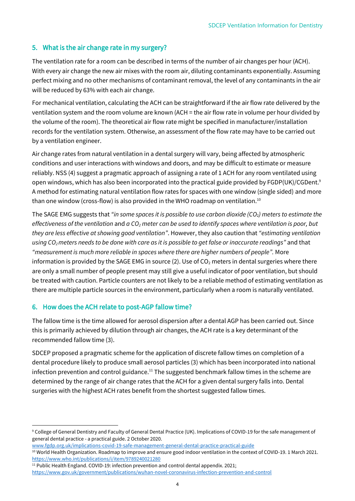## 5. What is the air change rate in my surgery?

The ventilation rate for a room can be described in terms of the number of air changes per hour (ACH). With every air change the new air mixes with the room air, diluting contaminants exponentially. Assuming perfect mixing and no other mechanisms of contaminant removal, the level of any contaminants in the air will be reduced by 63% with each air change.

For mechanical ventilation, calculating the ACH can be straightforward if the air flow rate delivered by the ventilation system and the room volume are known (ACH = the air flow rate in volume per hour divided by the volume of the room). The theoretical air flow rate might be specified in manufacturer/installation records for the ventilation system. Otherwise, an assessment of the flow rate may have to be carried out by a ventilation engineer.

Air change rates from natural ventilation in a dental surgery will vary, being affected by atmospheric conditions and user interactions with windows and doors, and may be difficult to estimate or measure reliably. NSS (4) suggest a pragmatic approach of assigning a rate of 1 ACH for any room ventilated using open windows, which has also been incorporated into the practical guide provided by FGDP(UK)/CGDent.<sup>9</sup> A method for estimating natural ventilation flow rates for spaces with one window (single sided) and more than one window (cross-flow) is also provided in the WHO roadmap on ventilation. $^{10}$ 

The SAGE EMG suggests that *"in some spaces it is possible to use carbon dioxide (CO*2*) meters to estimate the effectiveness of the ventilation* and *a CO<sup>2</sup> meter can be used to identify spaces where ventilation is poor, but they are less effective at showing good ventilation"*. However, they also caution that *"estimating ventilation using CO2meters needs to be done with care as it is possible to get false or inaccurate readings"* and that *"measurement is much more reliable in spaces where there are higher numbers of people".* More information is provided by the SAGE EMG in source (2). Use of  $CO<sub>2</sub>$  meters in dental surgeries where there are only a small number of people present may still give a useful indicator of poor ventilation, but should be treated with caution. Particle counters are not likely to be a reliable method of estimating ventilation as there are multiple particle sources in the environment, particularly when a room is naturally ventilated.

#### 6. How does the ACH relate to post-AGP fallow time?

The fallow time is the time allowed for aerosol dispersion after a dental AGP has been carried out. Since this is primarily achieved by dilution through air changes, the ACH rate is a key determinant of the recommended fallow time (3).

SDCEP proposed a pragmatic scheme for the application of discrete fallow times on completion of a dental procedure likely to produce small aerosol particles (3) which has been incorporated into national infection prevention and control guidance.<sup>11</sup> The suggested benchmark fallow times in the scheme are determined by the range of air change rates that the ACH for a given dental surgery falls into. Dental surgeries with the highest ACH rates benefit from the shortest suggested fallow times.

```
www.fgdp.org.uk/implications-covid-19-safe-management-general-dental-practice-practical-guide
```
<sup>11</sup> Public Health England. COVID-19: infection prevention and control dental appendix. 2021; <https://www.gov.uk/government/publications/wuhan-novel-coronavirus-infection-prevention-and-control>

<sup>9</sup> College of General Dentistry and Faculty of General Dental Practice (UK). Implications of COVID-19 for the safe management of general dental practice - a practical guide. 2 October 2020.

<sup>&</sup>lt;sup>10</sup> World Health Organization. Roadmap to improve and ensure good indoor ventilation in the context of COVID-19. 1 March 2021. <https://www.who.int/publications/i/item/9789240021280>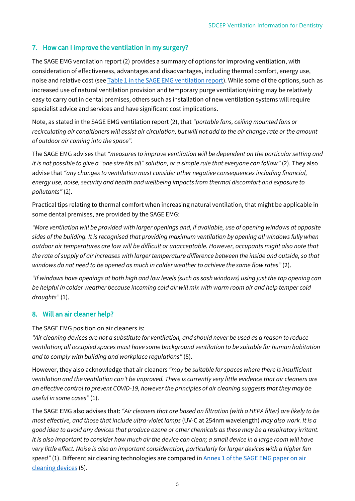## 7. How can I improve the ventilation in my surgery?

The SAGE EMG ventilation report (2) provides a summary of options for improving ventilation, with consideration of effectiveness, advantages and disadvantages, including thermal comfort, energy use, noise and relative cost (see [Table 1 in the SAGE EMG ventilation report\)](http://www.gov.uk/government/publications/emg-role-of-ventilation-in-controlling-sars-cov-2-transmission-30-september-2020). While some of the options, such as increased use of natural ventilation provision and temporary purge ventilation/airing may be relatively easy to carry out in dental premises, others such as installation of new ventilation systems will require specialist advice and services and have significant cost implications.

Note, as stated in the SAGE EMG ventilation report (2), that *"portable fans, ceiling mounted fans or recirculating air conditioners will assist air circulation, but will not add to the air change rate or the amount of outdoor air coming into the space".*

The SAGE EMG advises that *"measures to improve ventilation will be dependent on the particular setting and it is not possible to give a "one size fits all" solution, or a simple rule that everyone can follow"* (2). They also advise that *"any changes to ventilation must consider other negative consequences including financial, energy use, noise, security and health and wellbeing impacts from thermal discomfort and exposure to pollutants"* (2).

Practical tips relating to thermal comfort when increasing natural ventilation, that might be applicable in some dental premises, are provided by the SAGE EMG:

*"More ventilation will be provided with larger openings and, if available, use of opening windows at opposite sides of the building. It is recognised that providing maximum ventilation by opening all windows fully when outdoor air temperatures are low will be difficult or unacceptable. However, occupants might also note that the rate of supply of air increases with larger temperature difference between the inside and outside, so that windows do not need to be opened as much in colder weather to achieve the same flow rates"* (2).

*"If windows have openings at both high and low levels (such as sash windows) using just the top opening can be helpful in colder weather because incoming cold air will mix with warm room air and help temper cold draughts"* (1).

#### 8. Will an air cleaner help?

The SAGE EMG position on air cleaners is:

*"Air cleaning devices are not a substitute for ventilation, and should never be used as a reason to reduce ventilation; all occupied spaces must have some background ventilation to be suitable for human habitation and to comply with building and workplace regulations"* (5).

However, they also acknowledge that air cleaners *"may be suitable for spaces where there is insufficient ventilation and the ventilation can't be improved. There is currently very little evidence that air cleaners are an effective control to prevent COVID-19, however the principles of air cleaning suggests that they may be useful in some cases"* (1).

The SAGE EMG also advises that: *"Air cleaners that are based on filtration (with a HEPA filter) are likely to be most effective, and those that include ultra-violet lamps* (UV-C at 254nm wavelength) *may also work. It is a good idea to avoid any devices that produce ozone or other chemicals as these may be a respiratory irritant. It is also important to consider how much air the device can clean; a small device in a large room will have very little effect. Noise is also an important consideration, particularly for larger devices with a higher fan*  speed" (1). Different air cleaning technologies are compared in **Annex 1 of the SAGE EMG** paper on air [cleaning devices](http://www.gov.uk/government/publications/emg-potential-application-of-air-cleaning-devices-and-personal-decontamination-to-manage-transmission-of-covid-19-4-november-2020) (5).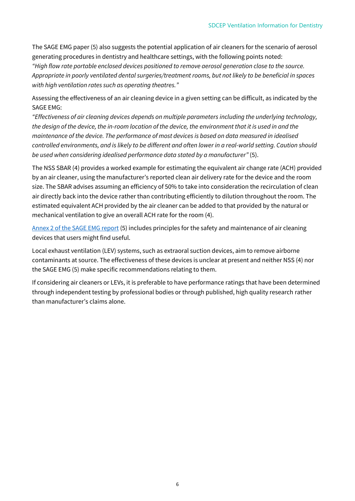The SAGE EMG paper (5) also suggests the potential application of air cleaners for the scenario of aerosol generating procedures in dentistry and healthcare settings, with the following points noted: *"High flow rate portable enclosed devices positioned to remove aerosol generation close to the source. Appropriate in poorly ventilated dental surgeries/treatment rooms, but not likely to be beneficial in spaces with high ventilation rates such as operating theatres."*

Assessing the effectiveness of an air cleaning device in a given setting can be difficult, as indicated by the SAGE EMG:

*"Effectiveness of air cleaning devices depends on multiple parameters including the underlying technology, the design of the device, the in-room location of the device, the environment that it is used in and the maintenance of the device. The performance of most devices is based on data measured in idealised controlled environments, and is likely to be different and often lower in a real-world setting. Caution should be used when considering idealised performance data stated by a manufacturer"* (5).

The NSS SBAR (4) provides a worked example for estimating the equivalent air change rate (ACH) provided by an air cleaner, using the manufacturer's reported clean air delivery rate for the device and the room size. The SBAR advises assuming an efficiency of 50% to take into consideration the recirculation of clean air directly back into the device rather than contributing efficiently to dilution throughout the room. The estimated equivalent ACH provided by the air cleaner can be added to that provided by the natural or mechanical ventilation to give an overall ACH rate for the room (4).

[Annex 2 of the SAGE EMG](http://www.gov.uk/government/publications/emg-potential-application-of-air-cleaning-devices-and-personal-decontamination-to-manage-transmission-of-covid-19-4-november-2020) report (5) includes principles for the safety and maintenance of air cleaning devices that users might find useful.

Local exhaust ventilation (LEV) systems, such as extraoral suction devices, aim to remove airborne contaminants at source. The effectiveness of these devices is unclear at present and neither NSS (4) nor the SAGE EMG (5) make specific recommendations relating to them.

If considering air cleaners or LEVs, it is preferable to have performance ratings that have been determined through independent testing by professional bodies or through published, high quality research rather than manufacturer's claims alone.